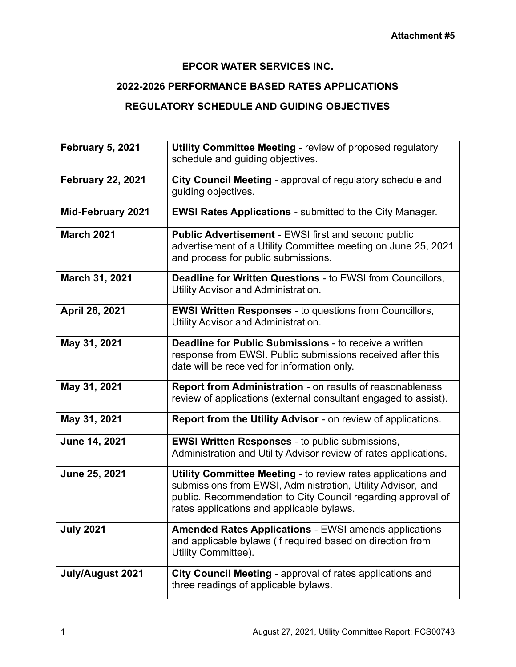## **EPCOR WATER SERVICES INC.**

## **2022-2026 PERFORMANCE BASED RATES APPLICATIONS**

## **REGULATORY SCHEDULE AND GUIDING OBJECTIVES**

| <b>February 5, 2021</b>  | <b>Utility Committee Meeting - review of proposed regulatory</b><br>schedule and guiding objectives.                                                                                                                                     |
|--------------------------|------------------------------------------------------------------------------------------------------------------------------------------------------------------------------------------------------------------------------------------|
| <b>February 22, 2021</b> | City Council Meeting - approval of regulatory schedule and<br>guiding objectives.                                                                                                                                                        |
| <b>Mid-February 2021</b> | <b>EWSI Rates Applications - submitted to the City Manager.</b>                                                                                                                                                                          |
| <b>March 2021</b>        | Public Advertisement - EWSI first and second public<br>advertisement of a Utility Committee meeting on June 25, 2021<br>and process for public submissions.                                                                              |
| March 31, 2021           | Deadline for Written Questions - to EWSI from Councillors,<br>Utility Advisor and Administration.                                                                                                                                        |
| April 26, 2021           | <b>EWSI Written Responses - to questions from Councillors,</b><br>Utility Advisor and Administration.                                                                                                                                    |
| May 31, 2021             | <b>Deadline for Public Submissions - to receive a written</b><br>response from EWSI. Public submissions received after this<br>date will be received for information only.                                                               |
| May 31, 2021             | Report from Administration - on results of reasonableness<br>review of applications (external consultant engaged to assist).                                                                                                             |
| May 31, 2021             | Report from the Utility Advisor - on review of applications.                                                                                                                                                                             |
| June 14, 2021            | <b>EWSI Written Responses - to public submissions,</b><br>Administration and Utility Advisor review of rates applications.                                                                                                               |
| June 25, 2021            | Utility Committee Meeting - to review rates applications and<br>submissions from EWSI, Administration, Utility Advisor, and<br>public. Recommendation to City Council regarding approval of<br>rates applications and applicable bylaws. |
| <b>July 2021</b>         | <b>Amended Rates Applications - EWSI amends applications</b><br>and applicable bylaws (if required based on direction from<br>Utility Committee).                                                                                        |
| July/August 2021         | City Council Meeting - approval of rates applications and<br>three readings of applicable bylaws.                                                                                                                                        |